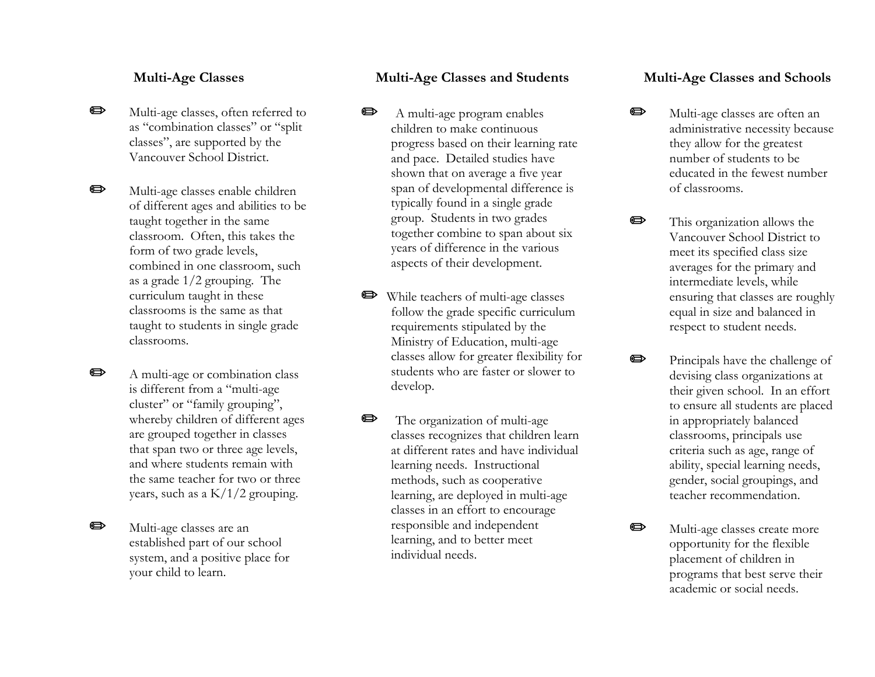#### **Multi-Age Classes**

 $\bullet$ 

- op ( Multi-age classes, often referred to as "combination classes" or "split classes", are supported by the Vancouver School District.
	- Multi-age classes enable children of different ages and abilities to be taught together in the same classroom. Often, this takes the form of two grade levels, combined in one classroom, such as a grade 1/2 grouping. The curriculum taught in these classrooms is the same as that taught to students in single grade classrooms.
- o porta de la comparacción de la comparacción de la comparacción de la comparacción de la comparacción de la comparacción de la comparacción de la comparacción de la comparacción de la comparacción de la comparacción de la A multi-age or combination class is different from a "multi-age cluster" or "family grouping", whereby children of different ages are grouped together in classes that span two or three age levels, and where students remain with the same teacher for two or three years, such as a K/1/2 grouping.
- o porta de la comparacción de la comparacción de la comparacción de la comparacción de la comparacción de la comparacción de la comparacción de la comparacción de la comparacción de la comparacción de la comparacción de la Multi-age classes are an established part of our school system, and a positive place for your child to learn.

### **Multi-Age Classes and Students**

- $\bullet$  A multi-age program enables children to make continuous progress based on their learning rate and pace. Detailed studies have shown that on average a five year span of developmental difference is typically found in a single grade group. Students in two grades together combine to span about six years of difference in the various aspects of their development.
- P While teachers of multi-age classes follow the grade specific curriculum requirements stipulated by the Ministry of Education, multi-age classes allow for greater flexibility for students who are faster or slower to develop.
- **P** The organization of multi-age classes recognizes that children learn at different rates and have individual learning needs. Instructional methods, such as cooperative learning, are deployed in multi-age classes in an effort to encourage responsible and independent learning, and to better meet individual needs.

#### **Multi-Age Classes and Schools**

- O Multi-age classes are often an administrative necessity because they allow for the greatest number of students to be educated in the fewest number of classrooms.
- $\oplus$  This organization allows the Vancouver School District to meet its specified class size averages for the primary and intermediate levels, while ensuring that classes are roughly equal in size and balanced in respect to student needs.
	- Principals have the challenge of devising class organizations at their given school. In an effort to ensure all students are placed in appropriately balanced classrooms, principals use criteria such as age, range of ability, special learning needs, gender, social groupings, and teacher recommendation.

op (

 $\blacksquare$ 

 Multi-age classes create more opportunity for the flexible placement of children in programs that best serve their academic or social needs.